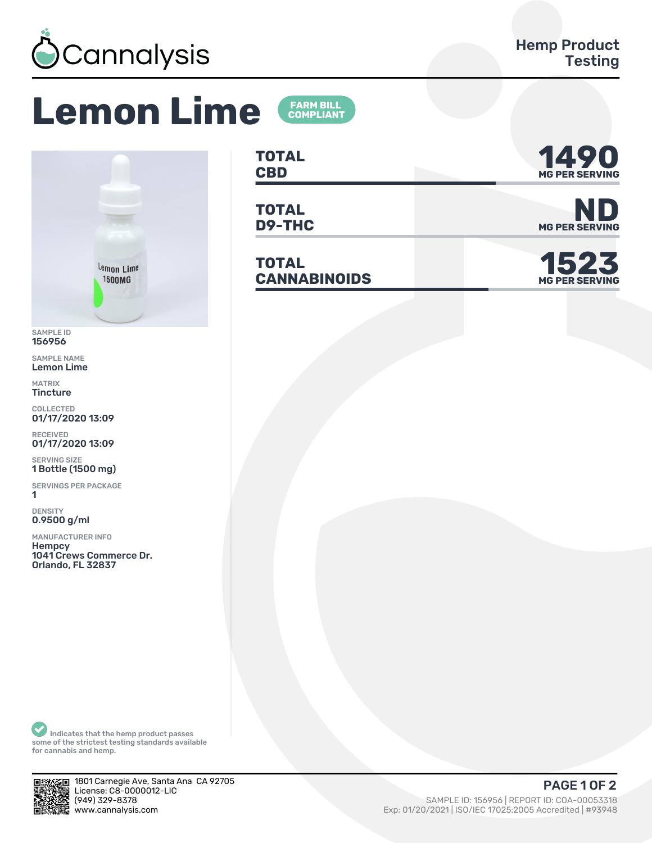

## **Lemon Lime**



SAMPLE ID 156956

SAMPLE NAME Lemon Lime

MATRIX **Tincture** 

COLLECTED 01/17/2020 13:09

RECEIVED 01/17/2020 13:09

SERVING SIZE 1 Bottle (1500 mg)

SERVINGS PER PACKAGE ǽ

DENSITY 0.9500 g/ml

MANUFACTURER INFO **Hempcy** 1041 Crews Commerce Dr.

Orlando, FL 32837

**TOTAL** TOTAL **CBD MG PER SERVING** 

**TOTAL**

**TOTAL**  $CANNABINOIDS$ 

**FARM BILL<br>COMPLIANT** 



**D9-THC** MG PER SERVING

1523

Indicates that the hemp product passes some of the strictest testing standards available for cannabis and hemp.



1801 Carnegie Ave, Santa Ana CA 92705 License: C8-0000012-LIC<br>(949) 329-8378 (1,949) 329-8378 (1,949) 529-8378 (1,949) 529-8378 (1,949) 529-8378 (1,949) 529-8378 (1,864) 529-8378 (1,864)<br>Moreos Exp: 01/20/2021 | ISO/IEC 17025:2005 Accredited | #93948 (1,93948 (1,93948 (1,93948 (1,93948 (1,93948 (

## Exp: 01/20/2021 | ISO/IEC 17025:2005 Accredited | #93948 **PAGE 1 OF 2**